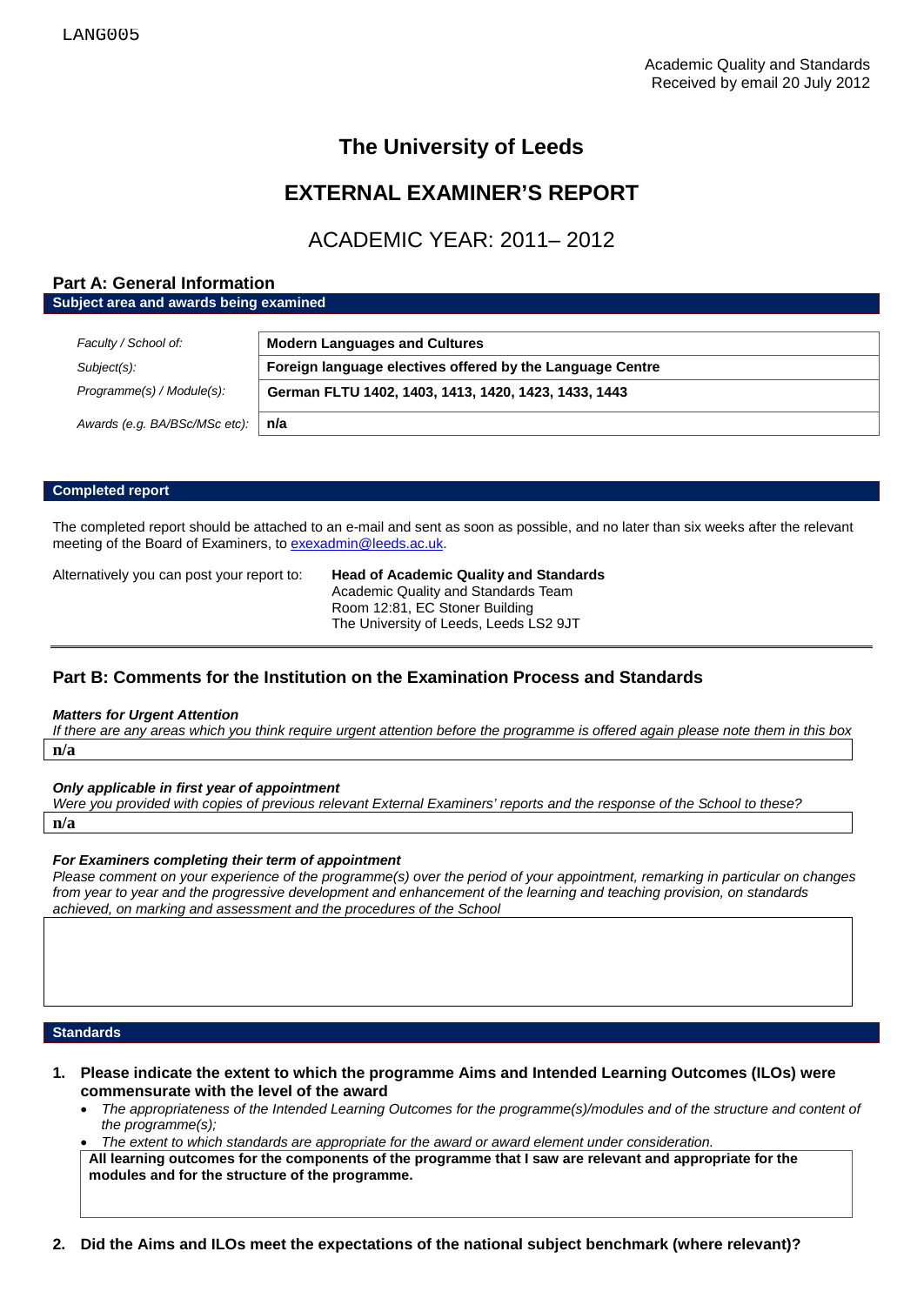# **The University of Leeds**

# **EXTERNAL EXAMINER'S REPORT**

# ACADEMIC YEAR: 2011– 2012

### **Part A: General Information**

**Subject area and awards being examined**

| Faculty / School of:          | <b>Modern Languages and Cultures</b>                      |  |
|-------------------------------|-----------------------------------------------------------|--|
| Subject(s):                   | Foreign language electives offered by the Language Centre |  |
| Programme(s) / Module(s):     | German FLTU 1402, 1403, 1413, 1420, 1423, 1433, 1443      |  |
| Awards (e.g. BA/BSc/MSc etc): | n/a                                                       |  |

#### **Completed report**

The completed report should be attached to an e-mail and sent as soon as possible, and no later than six weeks after the relevant meeting of the Board of Examiners, t[o exexadmin@leeds.ac.uk.](mailto:exexadmin@leeds.ac.uk)

Alternatively you can post your report to: **Head of Academic Quality and Standards** Academic Quality and Standards Team Room 12:81, EC Stoner Building The University of Leeds, Leeds LS2 9JT

## **Part B: Comments for the Institution on the Examination Process and Standards**

#### *Matters for Urgent Attention*

*If there are any areas which you think require urgent attention before the programme is offered again please note them in this box* **n/a**

*Only applicable in first year of appointment*

*Were you provided with copies of previous relevant External Examiners' reports and the response of the School to these?*  **n/a**

### *For Examiners completing their term of appointment*

*Please comment on your experience of the programme(s) over the period of your appointment, remarking in particular on changes from year to year and the progressive development and enhancement of the learning and teaching provision, on standards achieved, on marking and assessment and the procedures of the School*

#### **Standards**

- **1. Please indicate the extent to which the programme Aims and Intended Learning Outcomes (ILOs) were commensurate with the level of the award**
	- *The appropriateness of the Intended Learning Outcomes for the programme(s)/modules and of the structure and content of the programme(s);*
	- *The extent to which standards are appropriate for the award or award element under consideration.*

**All learning outcomes for the components of the programme that I saw are relevant and appropriate for the modules and for the structure of the programme.**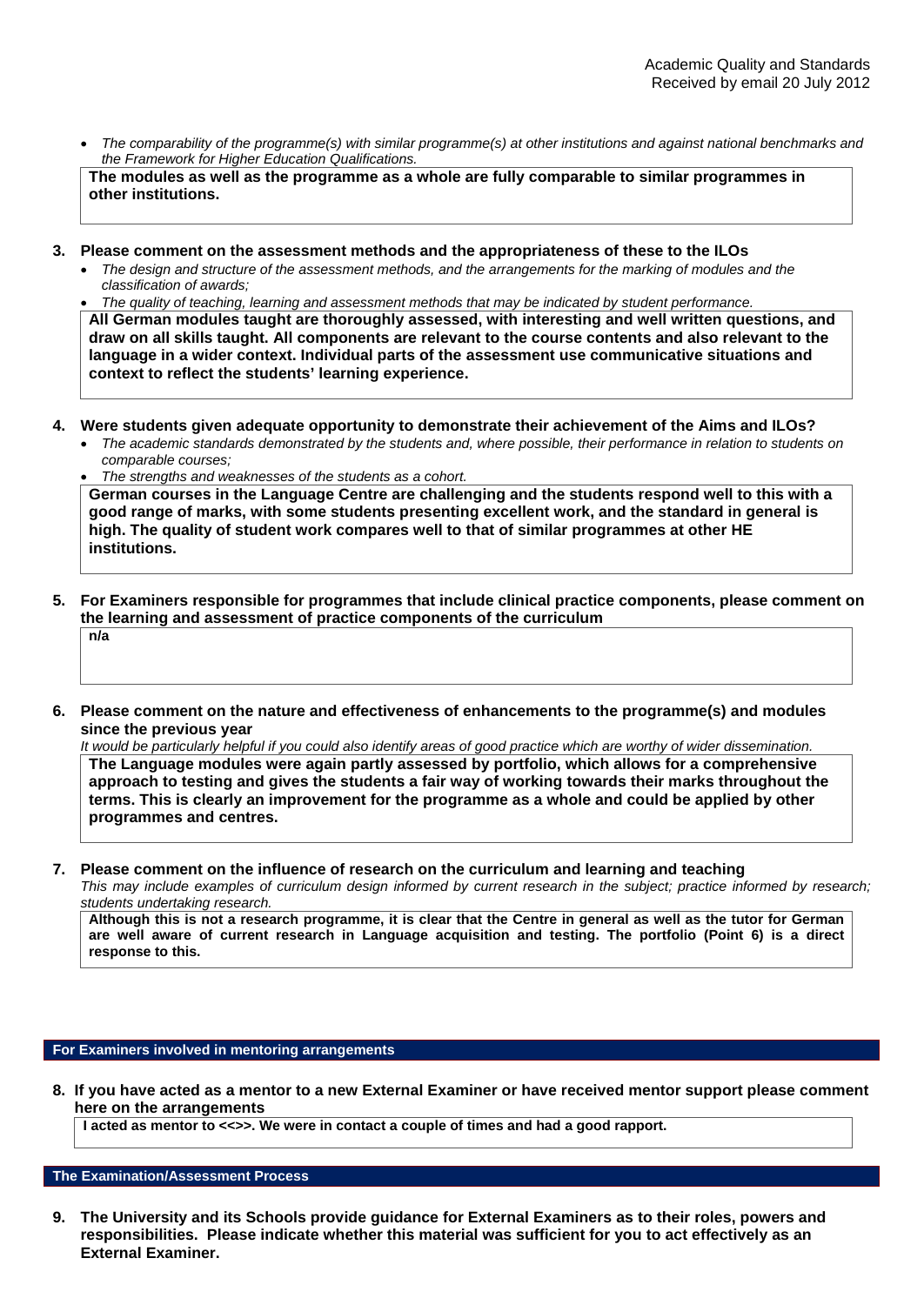• *The comparability of the programme(s) with similar programme(s) at other institutions and against national benchmarks and the Framework for Higher Education Qualifications.*

**The modules as well as the programme as a whole are fully comparable to similar programmes in other institutions.**

- **3. Please comment on the assessment methods and the appropriateness of these to the ILOs**
	- *The design and structure of the assessment methods, and the arrangements for the marking of modules and the classification of awards;*

• *The quality of teaching, learning and assessment methods that may be indicated by student performance.*

**All German modules taught are thoroughly assessed, with interesting and well written questions, and draw on all skills taught. All components are relevant to the course contents and also relevant to the language in a wider context. Individual parts of the assessment use communicative situations and context to reflect the students' learning experience.** 

- **4. Were students given adequate opportunity to demonstrate their achievement of the Aims and ILOs?**
	- *The academic standards demonstrated by the students and, where possible, their performance in relation to students on comparable courses;*
	- *The strengths and weaknesses of the students as a cohort.* **German courses in the Language Centre are challenging and the students respond well to this with a good range of marks, with some students presenting excellent work, and the standard in general is high. The quality of student work compares well to that of similar programmes at other HE institutions.**
- **5. For Examiners responsible for programmes that include clinical practice components, please comment on the learning and assessment of practice components of the curriculum n/a**
- **6. Please comment on the nature and effectiveness of enhancements to the programme(s) and modules since the previous year**

*It would be particularly helpful if you could also identify areas of good practice which are worthy of wider dissemination.*  **The Language modules were again partly assessed by portfolio, which allows for a comprehensive approach to testing and gives the students a fair way of working towards their marks throughout the terms. This is clearly an improvement for the programme as a whole and could be applied by other programmes and centres.** 

**7. Please comment on the influence of research on the curriculum and learning and teaching**

*This may include examples of curriculum design informed by current research in the subject; practice informed by research; students undertaking research.* 

**Although this is not a research programme, it is clear that the Centre in general as well as the tutor for German are well aware of current research in Language acquisition and testing. The portfolio (Point 6) is a direct response to this.** 

### **For Examiners involved in mentoring arrangements**

**8. If you have acted as a mentor to a new External Examiner or have received mentor support please comment here on the arrangements**

**I acted as mentor to <<>>. We were in contact a couple of times and had a good rapport.** 

#### **The Examination/Assessment Process**

**9. The University and its Schools provide guidance for External Examiners as to their roles, powers and responsibilities. Please indicate whether this material was sufficient for you to act effectively as an External Examiner.**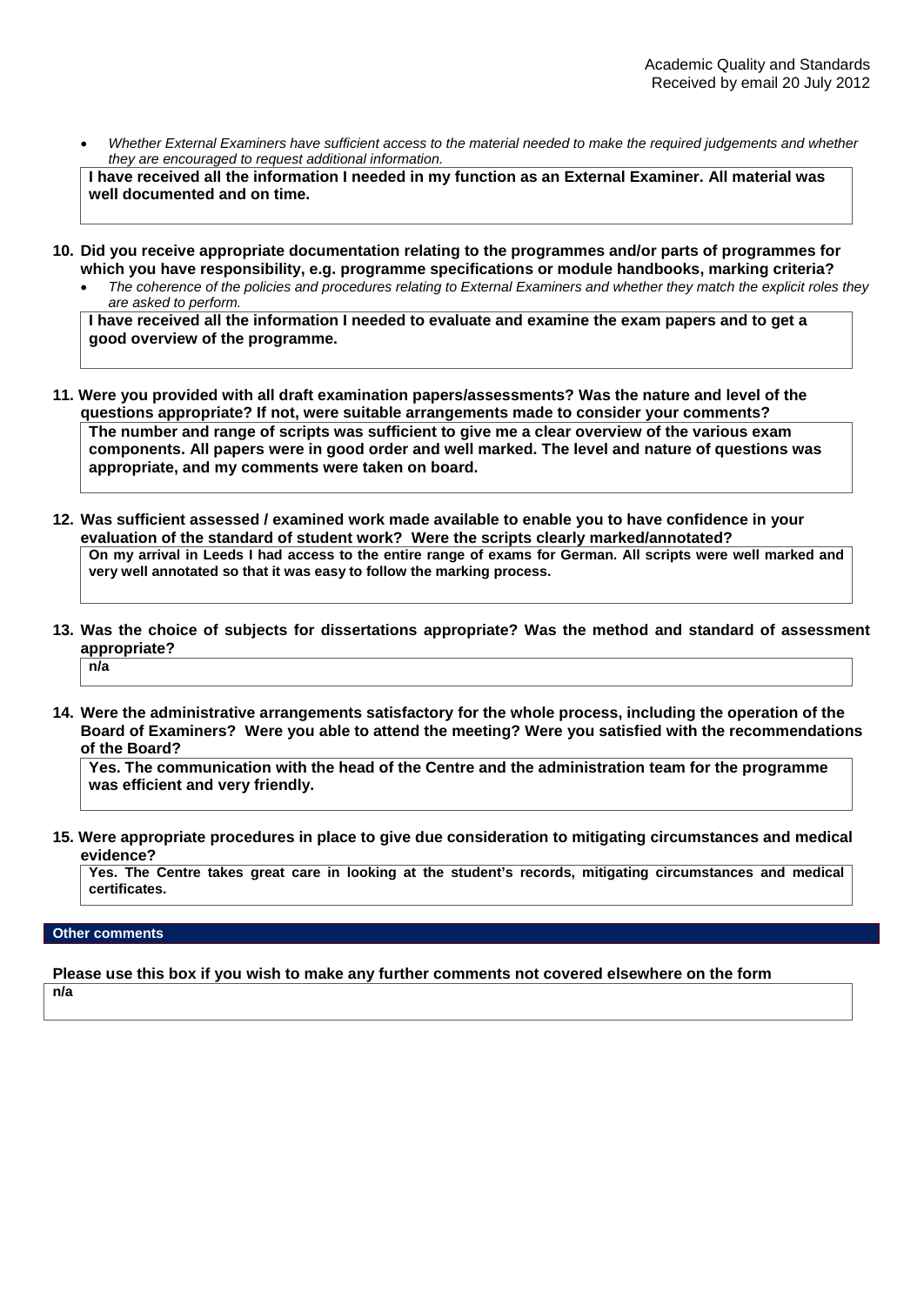• *Whether External Examiners have sufficient access to the material needed to make the required judgements and whether they are encouraged to request additional information.*

**I have received all the information I needed in my function as an External Examiner. All material was well documented and on time.**

- **10. Did you receive appropriate documentation relating to the programmes and/or parts of programmes for which you have responsibility, e.g. programme specifications or module handbooks, marking criteria?**
	- *The coherence of the policies and procedures relating to External Examiners and whether they match the explicit roles they are asked to perform.*

**I have received all the information I needed to evaluate and examine the exam papers and to get a good overview of the programme.** 

- **11. Were you provided with all draft examination papers/assessments? Was the nature and level of the questions appropriate? If not, were suitable arrangements made to consider your comments? The number and range of scripts was sufficient to give me a clear overview of the various exam components. All papers were in good order and well marked. The level and nature of questions was appropriate, and my comments were taken on board.**
- **12. Was sufficient assessed / examined work made available to enable you to have confidence in your evaluation of the standard of student work? Were the scripts clearly marked/annotated? On my arrival in Leeds I had access to the entire range of exams for German. All scripts were well marked and very well annotated so that it was easy to follow the marking process.**
- **13. Was the choice of subjects for dissertations appropriate? Was the method and standard of assessment appropriate? n/a**
- **14. Were the administrative arrangements satisfactory for the whole process, including the operation of the Board of Examiners? Were you able to attend the meeting? Were you satisfied with the recommendations of the Board?**

**Yes. The communication with the head of the Centre and the administration team for the programme was efficient and very friendly.**

**15. Were appropriate procedures in place to give due consideration to mitigating circumstances and medical evidence?**

**Yes. The Centre takes great care in looking at the student's records, mitigating circumstances and medical certificates.**

### **Other comments**

**Please use this box if you wish to make any further comments not covered elsewhere on the form n/a**